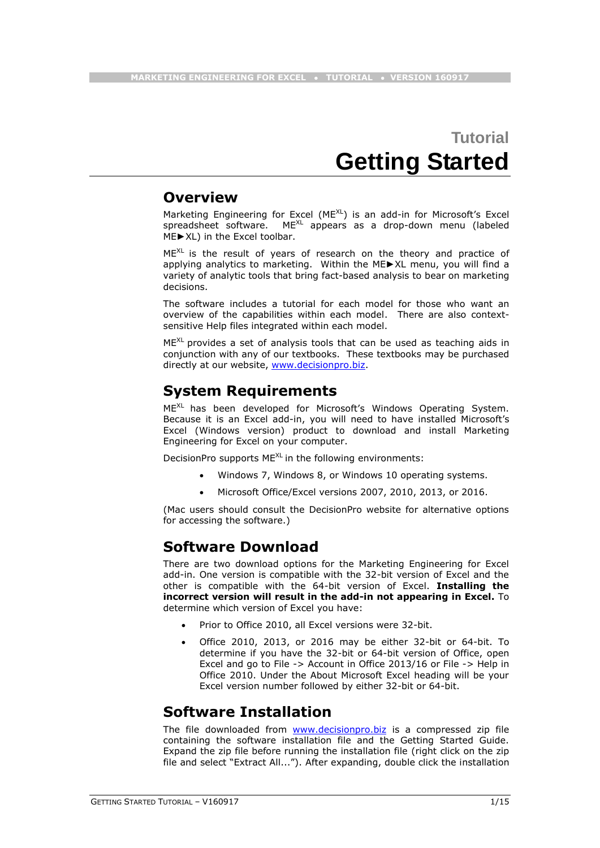# **Tutorial Getting Started**

### **Overview**

Marketing Engineering for Excel (MEXL) is an add-in for Microsoft's Excel spreadsheet software. ME<sup>XL</sup> appears as a drop-down menu (labeled ME►XL) in the Excel toolbar.

 $ME^{XL}$  is the result of years of research on the theory and practice of applying analytics to marketing. Within the ME►XL menu, you will find a variety of analytic tools that bring fact-based analysis to bear on marketing decisions.

The software includes a tutorial for each model for those who want an overview of the capabilities within each model. There are also contextsensitive Help files integrated within each model.

 $ME^{\text{KL}}$  provides a set of analysis tools that can be used as teaching aids in conjunction with any of our textbooks. These textbooks may be purchased directly at our website, [www.decisionpro.biz.](http://www.decisionpro.biz/)

### **System Requirements**

MEXL has been developed for Microsoft's Windows Operating System. Because it is an Excel add-in, you will need to have installed Microsoft's Excel (Windows version) product to download and install Marketing Engineering for Excel on your computer.

DecisionPro supports ME<sup>XL</sup> in the following environments:

- Windows 7, Windows 8, or Windows 10 operating systems.
- Microsoft Office/Excel versions 2007, 2010, 2013, or 2016.

(Mac users should consult the DecisionPro website for alternative options for accessing the software.)

### **Software Download**

There are two download options for the Marketing Engineering for Excel add-in. One version is compatible with the 32-bit version of Excel and the other is compatible with the 64-bit version of Excel. **Installing the incorrect version will result in the add-in not appearing in Excel.** To determine which version of Excel you have:

- Prior to Office 2010, all Excel versions were 32-bit.
- Office 2010, 2013, or 2016 may be either 32-bit or 64-bit. To determine if you have the 32-bit or 64-bit version of Office, open Excel and go to File -> Account in Office 2013/16 or File -> Help in Office 2010. Under the About Microsoft Excel heading will be your Excel version number followed by either 32-bit or 64-bit.

### **Software Installation**

The file downloaded from **[www.decisionpro.biz](http://www.decisionpro.biz/)** is a compressed zip file containing the software installation file and the Getting Started Guide. Expand the zip file before running the installation file (right click on the zip file and select "Extract All..."). After expanding, double click the installation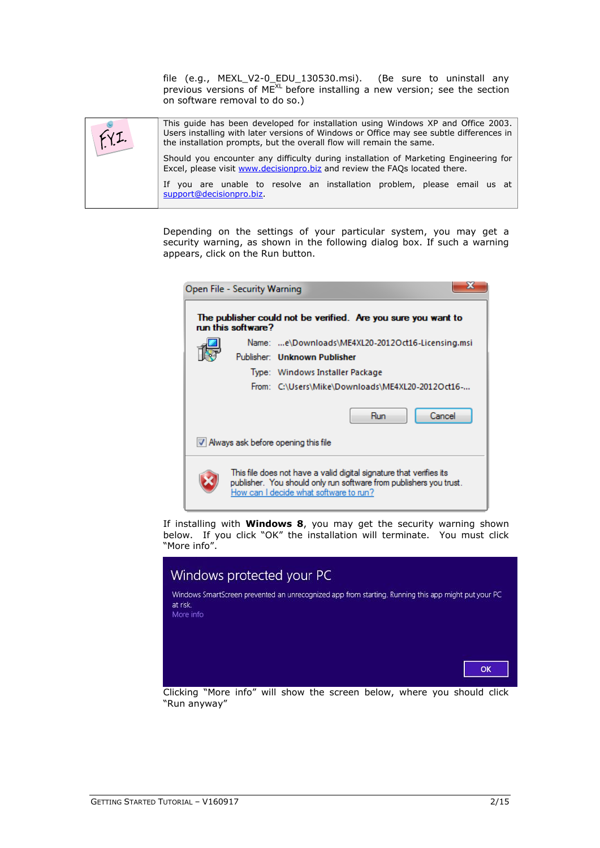file (e.g., MEXL\_V2-0\_EDU\_130530.msi). (Be sure to uninstall any previous versions of  $ME^{XL}$  before installing a new version; see the section on software removal to do so.)

This guide has been developed for installation using Windows XP and Office 2003. Users installing with later versions of Windows or Office may see subtle differences in  $fyz$ the installation prompts, but the overall flow will remain the same. Should you encounter any difficulty during installation of Marketing Engineering for Excel, please visit [www.decisionpro.biz](http://www.decisionpro.biz/) and review the FAQs located there. If you are unable to resolve an installation problem, please email us at [support@decisionpro.biz.](mailto:support@decisionpro.biz)

> Depending on the settings of your particular system, you may get a security warning, as shown in the following dialog box. If such a warning appears, click on the Run button.

| Open File - Security Warning                                                                                                                                                        |  |
|-------------------------------------------------------------------------------------------------------------------------------------------------------------------------------------|--|
| The publisher could not be verified. Are you sure you want to<br>run this software?                                                                                                 |  |
| Name: e\Downloads\ME4XL20-2012Oct16-Licensing.msi                                                                                                                                   |  |
| Publisher: Unknown Publisher                                                                                                                                                        |  |
| Type: Windows Installer Package                                                                                                                                                     |  |
| From: C:\Users\Mike\Downloads\ME4XL20-2012Oct16-                                                                                                                                    |  |
| Cancel<br>Run                                                                                                                                                                       |  |
| V Always ask before opening this file                                                                                                                                               |  |
| This file does not have a valid digital signature that verifies its<br>publisher. You should only run software from publishers you trust.<br>How can I decide what software to run? |  |

If installing with **Windows 8**, you may get the security warning shown below. If you click "OK" the installation will terminate. You must click "More info".



Clicking "More info" will show the screen below, where you should click "Run anyway"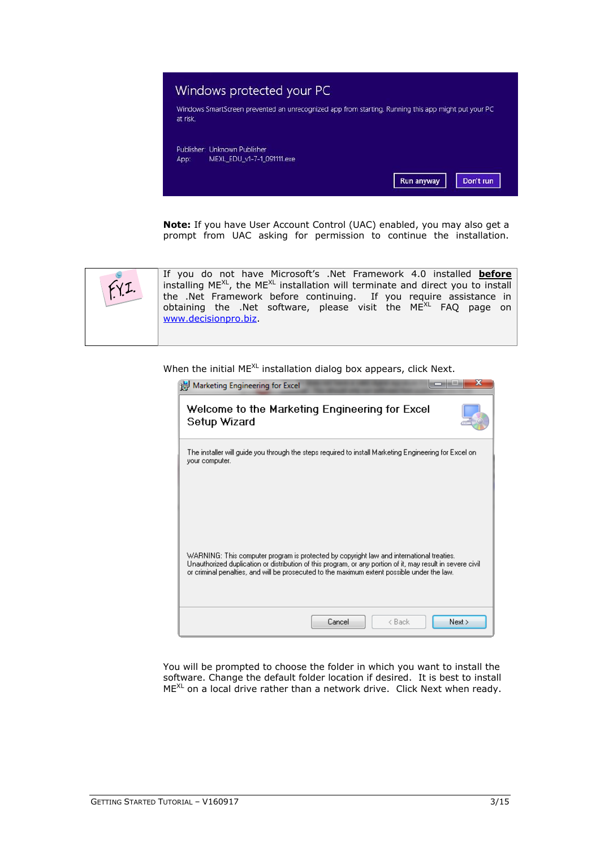

**Note:** If you have User Account Control (UAC) enabled, you may also get a prompt from UAC asking for permission to continue the installation.



When the initial ME<sup>XL</sup> installation dialog box appears, click Next.

| Marketing Engineering for Excel                                                                                                                                                                                                                                                                       |
|-------------------------------------------------------------------------------------------------------------------------------------------------------------------------------------------------------------------------------------------------------------------------------------------------------|
| Welcome to the Marketing Engineering for Excel<br>Setup Wizard                                                                                                                                                                                                                                        |
| The installer will guide you through the steps required to install Marketing Engineering for Excel on:<br>your computer.                                                                                                                                                                              |
| WARNING: This computer program is protected by copyright law and international treaties.<br>Unauthorized duplication or distribution of this program, or any portion of it, may result in severe civil<br>or criminal penalties, and will be prosecuted to the maximum extent possible under the law. |
| Next<br>Cancel<br>< Back                                                                                                                                                                                                                                                                              |

You will be prompted to choose the folder in which you want to install the software. Change the default folder location if desired. It is best to install  $ME^{XL}$  on a local drive rather than a network drive. Click Next when ready.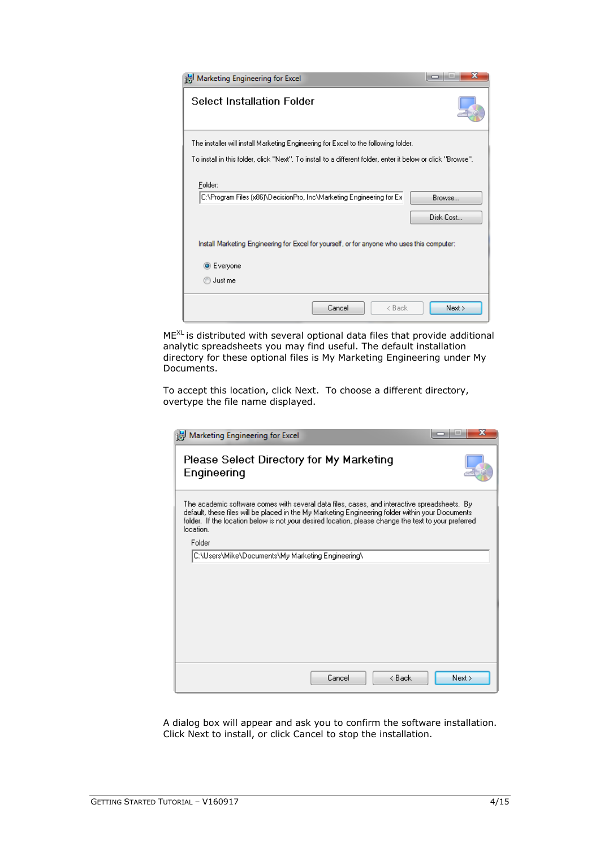| Marketing Engineering for Excel                                                     |                                                                                                                    |
|-------------------------------------------------------------------------------------|--------------------------------------------------------------------------------------------------------------------|
| Select Installation Folder                                                          |                                                                                                                    |
| The installer will install Marketing Engineering for Excel to the following folder. |                                                                                                                    |
|                                                                                     | To install in this folder, click "Next". To install to a different folder, enter it below or click "Browse".       |
| Folder:<br>C:\Program Files (x86)\DecisionPro, Inc\Marketing Engineering for Ex     | Browse<br>Disk Cost<br>Install Marketing Engineering for Excel for yourself, or for anyone who uses this computer: |
| <b>◎</b> Everyone                                                                   |                                                                                                                    |
| Just me                                                                             |                                                                                                                    |
|                                                                                     | Cancel<br>< Back<br>Next >                                                                                         |

ME<sup>XL</sup> is distributed with several optional data files that provide additional analytic spreadsheets you may find useful. The default installation directory for these optional files is My Marketing Engineering under My Documents.

To accept this location, click Next. To choose a different directory, overtype the file name displayed.

| Marketing Engineering for Excel                                                                                                                                                                                                                                                                                        |      |
|------------------------------------------------------------------------------------------------------------------------------------------------------------------------------------------------------------------------------------------------------------------------------------------------------------------------|------|
| Please Select Directory for My Marketing<br>Engineering                                                                                                                                                                                                                                                                |      |
| The academic software comes with several data files, cases, and interactive spreadsheets. By<br>default, these files will be placed in the My Marketing Engineering folder within your Documents.<br>folder. If the location below is not your desired location, please change the text to your preferred<br>location. |      |
| Folder                                                                                                                                                                                                                                                                                                                 |      |
| C:\Users\Mike\Documents\My Marketing Engineering\                                                                                                                                                                                                                                                                      |      |
|                                                                                                                                                                                                                                                                                                                        |      |
|                                                                                                                                                                                                                                                                                                                        |      |
|                                                                                                                                                                                                                                                                                                                        |      |
|                                                                                                                                                                                                                                                                                                                        |      |
|                                                                                                                                                                                                                                                                                                                        |      |
|                                                                                                                                                                                                                                                                                                                        |      |
|                                                                                                                                                                                                                                                                                                                        |      |
| Cancel<br>< Back                                                                                                                                                                                                                                                                                                       | Next |

A dialog box will appear and ask you to confirm the software installation. Click Next to install, or click Cancel to stop the installation.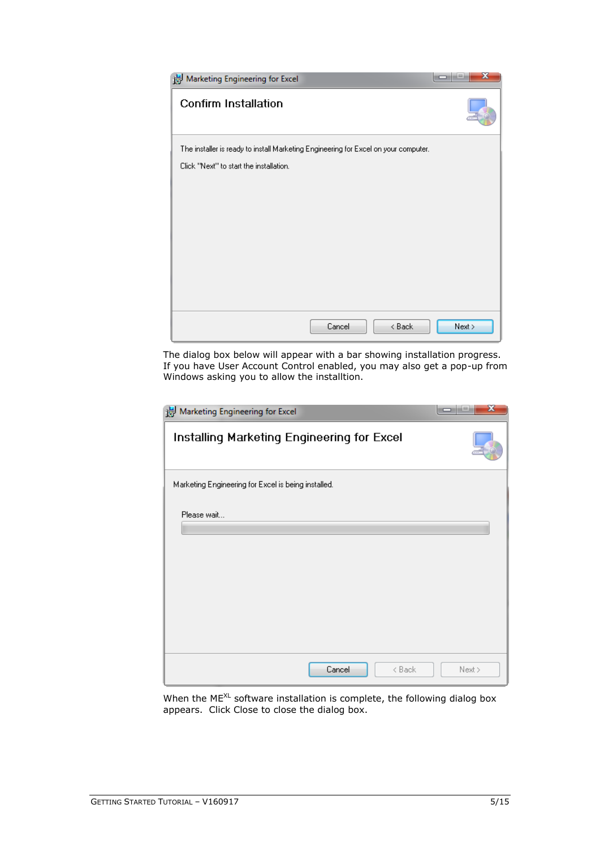| Marketing Engineering for Excel                                                     | x      |
|-------------------------------------------------------------------------------------|--------|
| <b>Confirm Installation</b>                                                         |        |
| The installer is ready to install Marketing Engineering for Excel on your computer. |        |
| Click "Next" to start the installation.                                             |        |
|                                                                                     |        |
|                                                                                     |        |
|                                                                                     |        |
|                                                                                     |        |
|                                                                                     |        |
|                                                                                     |        |
|                                                                                     |        |
| < Back<br>Cancel                                                                    | Next > |

The dialog box below will appear with a bar showing installation progress. If you have User Account Control enabled, you may also get a pop-up from Windows asking you to allow the installtion.

| Marketing Engineering for Excel                     |        |
|-----------------------------------------------------|--------|
| Installing Marketing Engineering for Excel          |        |
| Marketing Engineering for Excel is being installed. |        |
| Please wait                                         |        |
| Cancel<br>< Back                                    | Next > |

When the  $ME^{XL}$  software installation is complete, the following dialog box appears. Click Close to close the dialog box.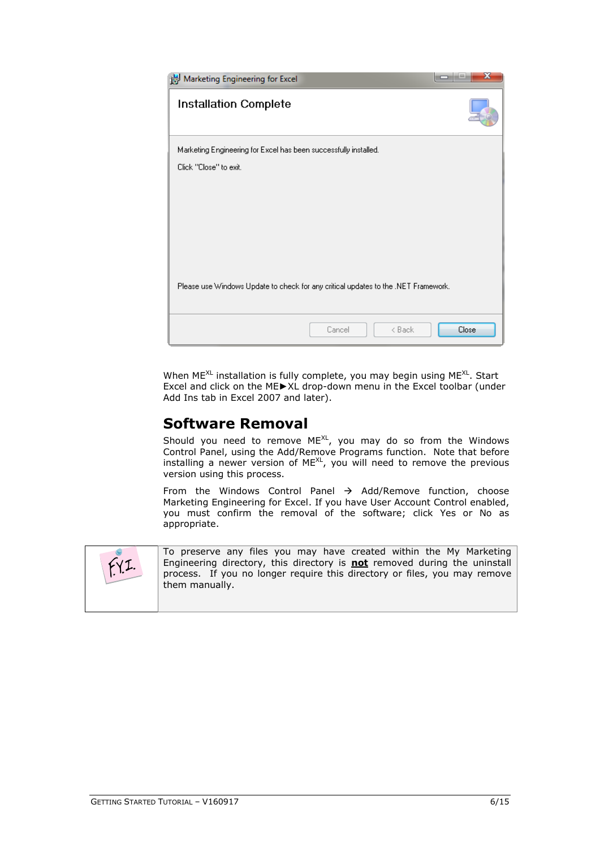

When  $ME^{XL}$  installation is fully complete, you may begin using  $ME^{XL}$ . Start Excel and click on the ME►XL drop-down menu in the Excel toolbar (under Add Ins tab in Excel 2007 and later).

### **Software Removal**

Should you need to remove  $ME^{XL}$ , you may do so from the Windows Control Panel, using the Add/Remove Programs function. Note that before installing a newer version of ME<sup>XL</sup>, you will need to remove the previous version using this process.

From the Windows Control Panel  $\rightarrow$  Add/Remove function, choose Marketing Engineering for Excel. If you have User Account Control enabled, you must confirm the removal of the software; click Yes or No as appropriate.



To preserve any files you may have created within the My Marketing Engineering directory, this directory is **not** removed during the uninstall process. If you no longer require this directory or files, you may remove them manually.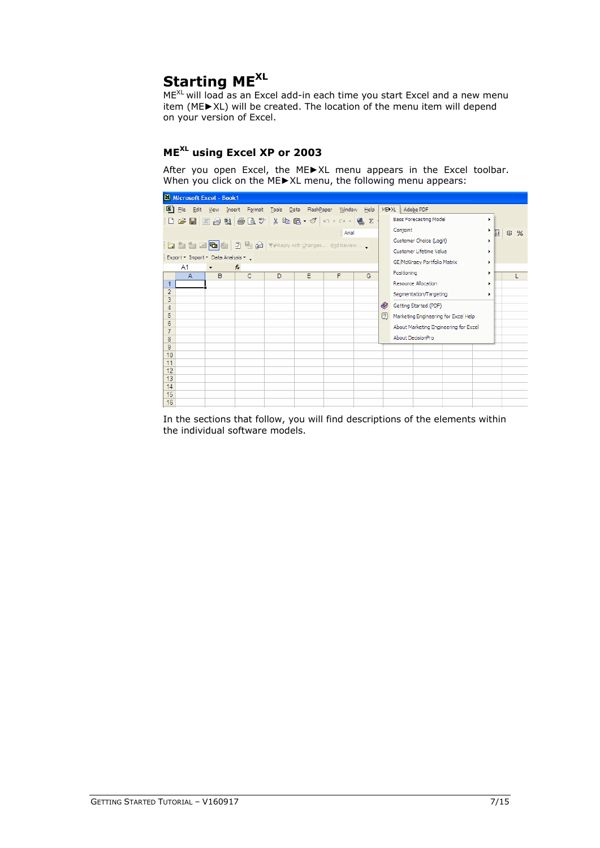### **Starting MEXL**

ME<sup>XL</sup> will load as an Excel add-in each time you start Excel and a new menu item (ME►XL) will be created. The location of the menu item will depend on your version of Excel.

### **MEXL using Excel XP or 2003**

After you open Excel, the ME►XL menu appears in the Excel toolbar. When you click on the ME►XL menu, the following menu appears:

|                |    |              | Microsoft Excel - Book1             |                                                    |   |   |        |      |             |                                       |   |   |        |
|----------------|----|--------------|-------------------------------------|----------------------------------------------------|---|---|--------|------|-------------|---------------------------------------|---|---|--------|
|                |    |              |                                     | File Edit View Insert Format Tools Data FlashPaper |   |   | Window | Help |             | MEXIL   Adobe PDF                     |   |   |        |
|                |    |              |                                     | D 2 B Z 3 + Q 3 + Q + X + a + a + 4 Σ              |   |   |        |      |             | <b>Bass Forecasting Model</b>         | ٠ |   |        |
|                |    |              |                                     |                                                    |   |   | Arial  |      |             | Conjoint                              |   | 囩 | $$ \%$ |
|                |    |              |                                     | <b>约如如国国图图问题问WReply with Changes End Review</b>    |   |   |        |      |             | Customer Choice (Logit)               | ٠ |   |        |
|                |    |              | Export * Import * Data Analysis * _ |                                                    |   |   |        |      |             | Customer Lifetime Value               |   |   |        |
|                | A1 |              | $\blacktriangledown$                | $f_x$                                              |   |   |        |      |             | GE/McKinsey Portfolio Matrix          |   |   |        |
|                |    | $\mathsf{A}$ | B                                   | C.                                                 | D | E | F      | G    |             | Positioning                           |   |   |        |
|                |    |              |                                     |                                                    |   |   |        |      |             | Resource Allocation                   | ٠ |   |        |
| $\overline{2}$ |    |              |                                     |                                                    |   |   |        |      |             | Segmentation/Targeting                | ٠ |   |        |
| 3<br>4         |    |              |                                     |                                                    |   |   |        |      | O.          | Getting Started (PDF)                 |   |   |        |
| 5              |    |              |                                     |                                                    |   |   |        |      | $\boxed{2}$ | Marketing Engineering for Excel Help  |   |   |        |
| 6              |    |              |                                     |                                                    |   |   |        |      |             | About Marketing Engineering for Excel |   |   |        |
| 7<br>8         |    |              |                                     |                                                    |   |   |        |      |             | About DecisionPro                     |   |   |        |
| 9              |    |              |                                     |                                                    |   |   |        |      |             |                                       |   |   |        |
| 10             |    |              |                                     |                                                    |   |   |        |      |             |                                       |   |   |        |
| 11             |    |              |                                     |                                                    |   |   |        |      |             |                                       |   |   |        |
| 12<br>13       |    |              |                                     |                                                    |   |   |        |      |             |                                       |   |   |        |
| 14             |    |              |                                     |                                                    |   |   |        |      |             |                                       |   |   |        |
| 15             |    |              |                                     |                                                    |   |   |        |      |             |                                       |   |   |        |
| 16             |    |              |                                     |                                                    |   |   |        |      |             |                                       |   |   |        |

In the sections that follow, you will find descriptions of the elements within the individual software models.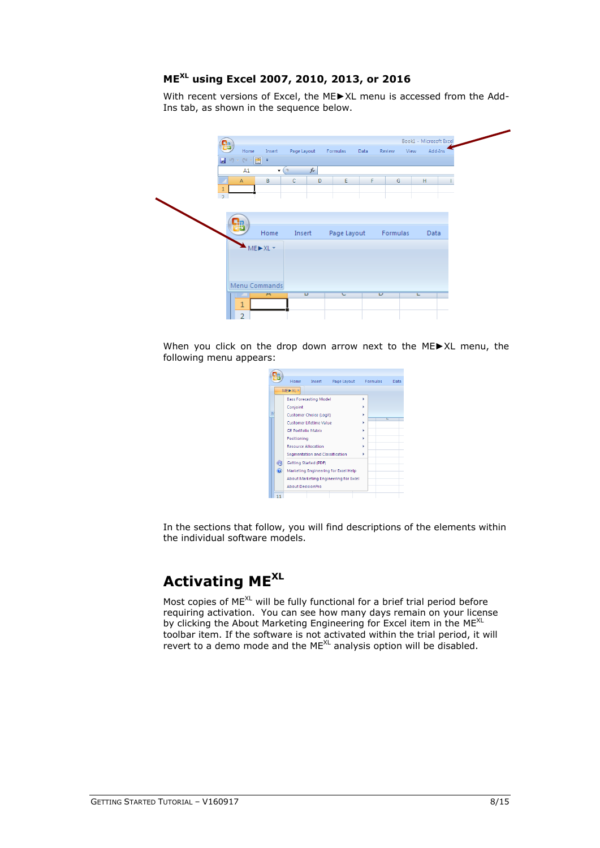### **ME XL using Excel 2007, 2010, 2013, or 2016**

With recent versions of Excel, the ME►XL menu is accessed from the Add-Ins tab, as shown in the sequence below.

| Book1 - Microsoft Excel<br><b>ga</b><br>Home<br>Page Layout<br>Formulas<br>Add-Ins<br>Insert<br>Data<br>Review<br>View<br>■ りゃい×園 ▼<br>$f_x$<br>A1<br>$\circ$<br>$\blacktriangledown$<br>F<br>н<br>B<br>D<br>E<br>G<br>$\mathbb A$<br>C<br>$\mathbf{1}$<br>$\overline{2}$<br><br>Home<br>Page Layout<br>Formulas<br>Insert<br>Data<br>$ME \triangleright XL \preceq$<br>Menu Commands<br>Ü<br>U<br>$\blacksquare$<br>U<br><b>Links</b><br>1 |  |   |  |  |  |  |  |
|---------------------------------------------------------------------------------------------------------------------------------------------------------------------------------------------------------------------------------------------------------------------------------------------------------------------------------------------------------------------------------------------------------------------------------------------|--|---|--|--|--|--|--|
|                                                                                                                                                                                                                                                                                                                                                                                                                                             |  |   |  |  |  |  |  |
|                                                                                                                                                                                                                                                                                                                                                                                                                                             |  |   |  |  |  |  |  |
|                                                                                                                                                                                                                                                                                                                                                                                                                                             |  |   |  |  |  |  |  |
|                                                                                                                                                                                                                                                                                                                                                                                                                                             |  |   |  |  |  |  |  |
|                                                                                                                                                                                                                                                                                                                                                                                                                                             |  |   |  |  |  |  |  |
|                                                                                                                                                                                                                                                                                                                                                                                                                                             |  |   |  |  |  |  |  |
|                                                                                                                                                                                                                                                                                                                                                                                                                                             |  |   |  |  |  |  |  |
|                                                                                                                                                                                                                                                                                                                                                                                                                                             |  |   |  |  |  |  |  |
|                                                                                                                                                                                                                                                                                                                                                                                                                                             |  |   |  |  |  |  |  |
|                                                                                                                                                                                                                                                                                                                                                                                                                                             |  |   |  |  |  |  |  |
|                                                                                                                                                                                                                                                                                                                                                                                                                                             |  |   |  |  |  |  |  |
|                                                                                                                                                                                                                                                                                                                                                                                                                                             |  |   |  |  |  |  |  |
|                                                                                                                                                                                                                                                                                                                                                                                                                                             |  |   |  |  |  |  |  |
|                                                                                                                                                                                                                                                                                                                                                                                                                                             |  |   |  |  |  |  |  |
|                                                                                                                                                                                                                                                                                                                                                                                                                                             |  |   |  |  |  |  |  |
|                                                                                                                                                                                                                                                                                                                                                                                                                                             |  |   |  |  |  |  |  |
|                                                                                                                                                                                                                                                                                                                                                                                                                                             |  |   |  |  |  |  |  |
|                                                                                                                                                                                                                                                                                                                                                                                                                                             |  | o |  |  |  |  |  |

When you click on the drop down arrow next to the ME►XL menu, the following menu appears:

|                | Home                                                  | <b>Insert</b>                          | Page Layout Formulas                  |   | Data |
|----------------|-------------------------------------------------------|----------------------------------------|---------------------------------------|---|------|
|                | $ME$ $\blacktriangleright$ $XL$ $\blacktriangleright$ |                                        |                                       |   |      |
|                |                                                       | <b>Bass Forecasting Model</b>          |                                       | ٠ |      |
|                | Conjoint                                              |                                        |                                       |   |      |
|                |                                                       | <b>Customer Choice (Logit)</b>         |                                       | ٠ |      |
|                |                                                       | Customer Lifetime Value                |                                       |   | ш    |
|                |                                                       | <b>GE Portfolio Matrix</b>             |                                       | ь |      |
|                | Positioning                                           |                                        |                                       |   |      |
|                |                                                       | <b>Resource Allocation</b>             |                                       |   |      |
|                |                                                       | <b>Segmentation and Classification</b> |                                       |   |      |
| ≤อ             |                                                       | Getting Started (PDF)                  |                                       |   |      |
| $\circledcirc$ |                                                       |                                        | Marketing Engineering for Excel Help  |   |      |
|                |                                                       |                                        | About Marketing Engineering for Excel |   |      |
|                |                                                       | <b>About DecisionPro</b>               |                                       |   |      |
|                |                                                       |                                        |                                       |   |      |

In the sections that follow, you will find descriptions of the elements within the individual software models.

# **Activating MEXL**

Most copies of ME<sup>XL</sup> will be fully functional for a brief trial period before requiring activation. You can see how many days remain on your license by clicking the About Marketing Engineering for Excel item in the ME<sup>XL</sup> toolbar item. If the software is not activated within the trial period, it will revert to a demo mode and the ME<sup>XL</sup> analysis option will be disabled.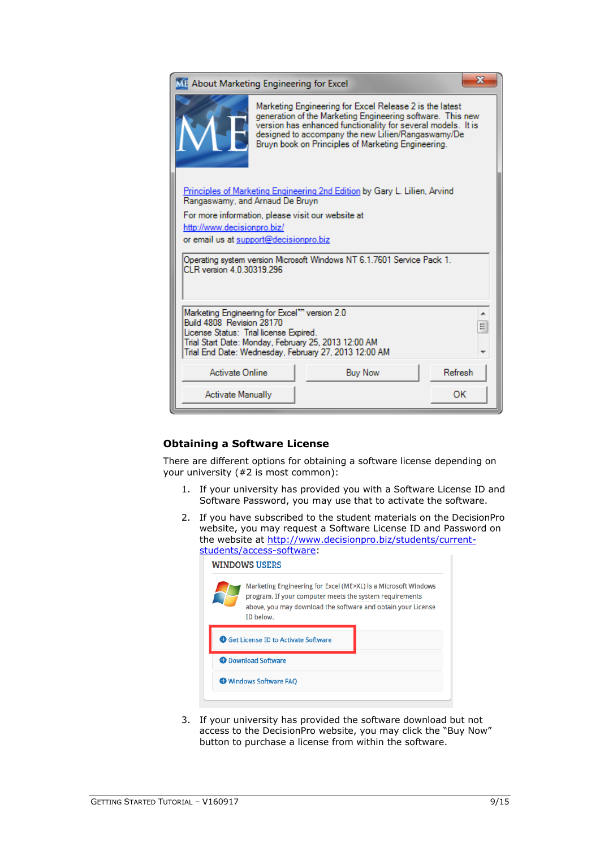| ME About Marketing Engineering for Excel                                                                                                                                                 |                                                                                                                                                                                                                                                                                                   |         |
|------------------------------------------------------------------------------------------------------------------------------------------------------------------------------------------|---------------------------------------------------------------------------------------------------------------------------------------------------------------------------------------------------------------------------------------------------------------------------------------------------|---------|
|                                                                                                                                                                                          | Marketing Engineering for Excel Release 2 is the latest<br>generation of the Marketing Engineering software. This new<br>version has enhanced functionality for several models. It is<br>designed to accompany the new Lilien/Rangaswamy/De<br>Bruyn book on Principles of Marketing Engineering. |         |
| Rangaswamy, and Arnaud De Bruyn                                                                                                                                                          | <b>Principles of Marketing Engineering 2nd Edition by Gary L. Lilien, Arvind</b>                                                                                                                                                                                                                  |         |
| For more information, please visit our website at<br>http://www.decisionpro.biz/<br>or email us at support@decisionpro.biz                                                               |                                                                                                                                                                                                                                                                                                   |         |
| CLR version 4.0.30319.296                                                                                                                                                                | Operating system version Microsoft Windows NT 6.1.7601 Service Pack 1.                                                                                                                                                                                                                            |         |
| Marketing Engineering for Excel <sup>11</sup> version 2.0<br>Build 4808 Revision 28170<br>License Status: Trial license Expired.<br>Trial Start Date: Monday, February 25, 2013 12:00 AM | Trial End Date: Wednesday, February 27, 2013 12:00 AM                                                                                                                                                                                                                                             | ▴<br>Ξ  |
| Activate Online                                                                                                                                                                          | <b>Buy Now</b>                                                                                                                                                                                                                                                                                    | Refresh |
| <b>Activate Manually</b>                                                                                                                                                                 |                                                                                                                                                                                                                                                                                                   | OK      |

### **Obtaining a Software License**

There are different options for obtaining a software license depending on your university (#2 is most common):

- 1. If your university has provided you with a Software License ID and Software Password, you may use that to activate the software.
- 2. If you have subscribed to the student materials on the DecisionPro website, you may request a Software License ID and Password on the website at [http://www.decisionpro.biz/students/current](http://www.decisionpro.biz/students/current-students/access-software)[students/access-software:](http://www.decisionpro.biz/students/current-students/access-software)

|                            | ID below.                                    |  |  |
|----------------------------|----------------------------------------------|--|--|
|                            | <b>O</b> Get License ID to Activate Software |  |  |
| <b>O</b> Download Software |                                              |  |  |

3. If your university has provided the software download but not access to the DecisionPro website, you may click the "Buy Now" button to purchase a license from within the software.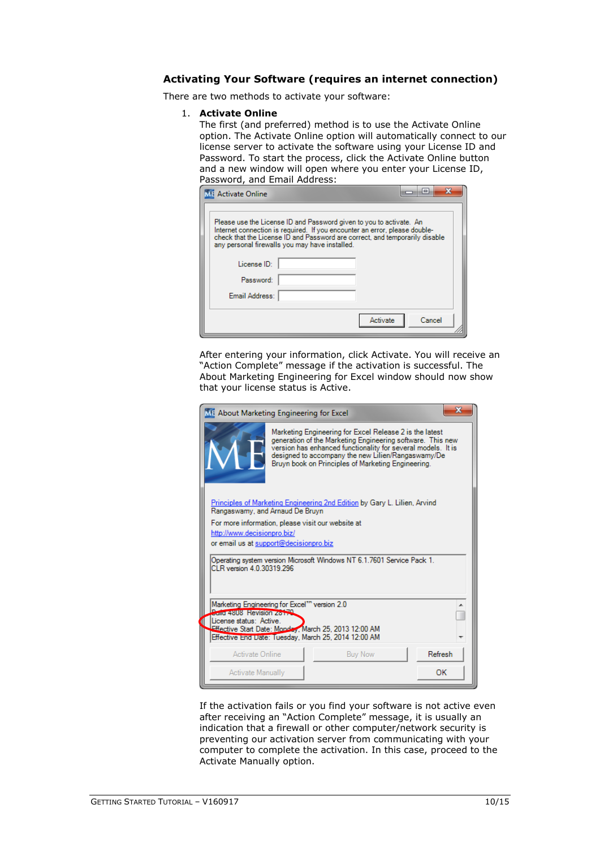### **Activating Your Software (requires an internet connection)**

There are two methods to activate your software:

#### 1. **Activate Online**

The first (and preferred) method is to use the Activate Online option. The Activate Online option will automatically connect to our license server to activate the software using your License ID and Password. To start the process, click the Activate Online button and a new window will open where you enter your License ID, Password, and Email Address:

| х<br>릐<br><b>1: Activate Online</b>                                                                                                                                                                                                                                                |
|------------------------------------------------------------------------------------------------------------------------------------------------------------------------------------------------------------------------------------------------------------------------------------|
| Please use the License ID and Password given to you to activate. An<br>Internet connection is required. If you encounter an error, please double-<br>check that the License ID and Password are correct, and temporarily disable<br>any personal firewalls you may have installed. |
| License ID:<br>Password:                                                                                                                                                                                                                                                           |
| Email Address:                                                                                                                                                                                                                                                                     |
| Activate<br>Cancel                                                                                                                                                                                                                                                                 |

After entering your information, click Activate. You will receive an "Action Complete" message if the activation is successful. The About Marketing Engineering for Excel window should now show that your license status is Active.

|                                                                                                     | х<br>ME About Marketing Engineering for Excel                                                                                                                                                                                                                                                     |  |  |  |  |  |
|-----------------------------------------------------------------------------------------------------|---------------------------------------------------------------------------------------------------------------------------------------------------------------------------------------------------------------------------------------------------------------------------------------------------|--|--|--|--|--|
|                                                                                                     | Marketing Engineering for Excel Release 2 is the latest<br>generation of the Marketing Engineering software. This new<br>version has enhanced functionality for several models. It is<br>designed to accompany the new Lilien/Rangaswamy/De<br>Bruyn book on Principles of Marketing Engineering. |  |  |  |  |  |
|                                                                                                     | Principles of Marketing Engineering 2nd Edition by Gary L. Lilien, Arvind<br>Rangaswamy, and Arnaud De Bruyn                                                                                                                                                                                      |  |  |  |  |  |
|                                                                                                     | For more information, please visit our website at<br>http://www.decisionpro.biz/<br>or email us at support@decisionpro.biz                                                                                                                                                                        |  |  |  |  |  |
| Operating system version Microsoft Windows NT 6.1.7601 Service Pack 1.<br>CLR version 4.0.30319.296 |                                                                                                                                                                                                                                                                                                   |  |  |  |  |  |
| <b>Come 4808 Revision Zone</b>                                                                      | Marketing Engineering for Excel"" version 2.0                                                                                                                                                                                                                                                     |  |  |  |  |  |
| License status: Active                                                                              | Effective Start Date: Monday, March 25, 2013 12:00 AM<br>Effective End Date: Tuesday, March 25, 2014 12:00 AM                                                                                                                                                                                     |  |  |  |  |  |
| Activate Online                                                                                     | Refresh<br><b>Buy Now</b>                                                                                                                                                                                                                                                                         |  |  |  |  |  |
| Activate Manually                                                                                   | ΩК                                                                                                                                                                                                                                                                                                |  |  |  |  |  |

If the activation fails or you find your software is not active even after receiving an "Action Complete" message, it is usually an indication that a firewall or other computer/network security is preventing our activation server from communicating with your computer to complete the activation. In this case, proceed to the Activate Manually option.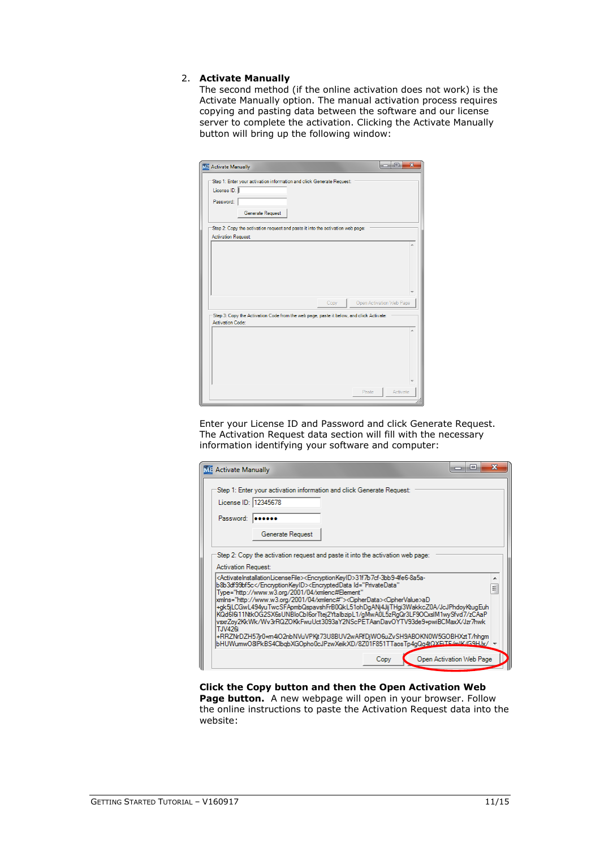#### 2. **Activate Manually**

The second method (if the online activation does not work) is the Activate Manually option. The manual activation process requires copying and pasting data between the software and our license server to complete the activation. Clicking the Activate Manually button will bring up the following window:

| MF Activate Manually                                                                                                  |      |       | اصراه | $\mathbf{x}$             |
|-----------------------------------------------------------------------------------------------------------------------|------|-------|-------|--------------------------|
| Step 1: Enter your activation information and click Generate Request:<br>License ID:<br>Password:<br>Generate Request |      |       |       |                          |
| Step 2: Copy the activation request and paste it into the activation web page:<br><b>Activation Request:</b>          |      |       |       |                          |
|                                                                                                                       |      |       |       |                          |
|                                                                                                                       |      |       |       |                          |
|                                                                                                                       |      |       |       |                          |
|                                                                                                                       |      |       |       |                          |
|                                                                                                                       | Copy |       |       | Open Activation Web Page |
| Step 3: Copy the Activation Code from the web page, paste it below, and click Activate:<br>Activation Code:           |      |       |       |                          |
|                                                                                                                       |      |       |       |                          |
|                                                                                                                       |      |       |       |                          |
|                                                                                                                       |      |       |       |                          |
|                                                                                                                       |      |       |       |                          |
|                                                                                                                       |      | Paste |       | Activate                 |

Enter your License ID and Password and click Generate Request. The Activation Request data section will fill with the necessary information identifying your software and computer:

| <b>ME</b> Activate Manually | o                                                                                                                                                                                                                                                                                                                                                                                                                                                                                                                                                                                                                                                                                                                                                                                                                                                                                                           |  |
|-----------------------------|-------------------------------------------------------------------------------------------------------------------------------------------------------------------------------------------------------------------------------------------------------------------------------------------------------------------------------------------------------------------------------------------------------------------------------------------------------------------------------------------------------------------------------------------------------------------------------------------------------------------------------------------------------------------------------------------------------------------------------------------------------------------------------------------------------------------------------------------------------------------------------------------------------------|--|
| Password:                   | Step 1: Enter your activation information and click Generate Request:<br>License ID: 12345678<br><br>Generate Request                                                                                                                                                                                                                                                                                                                                                                                                                                                                                                                                                                                                                                                                                                                                                                                       |  |
| T.JV426i                    | Step 2: Copy the activation request and paste it into the activation web page:<br>Activation Request:<br><activateinstallationlicensefile><encryptionkeyid>31f7b7cf-3bb9-4fe6-8a5a-<br/>b8b3df99bf5c</encryptionkeyid><encrypteddata <br="" id="PrivateData">Ξ<br/>Type="http://www.w3.org/2001/04/xmlenc#Element"<br/>kmlns="http://www.w3.org/2001/04/xmlenc#"&gt;<cipherdata><ciphervalue>aD<br/>+ak5jLCGwL494yuTwcSFApmbQspavshFrB0QkL51ohDaANi4JijTHai3WakkcZ0A/JcJPhdoyKtuaEuh<br/>KQd6I6i11NtkOG2SX6sUNBIoCbI6orTtej2YtalbzipL1/qMwA0L5zRqQr3LF9OCxsIM1wySfvd7/zCAaP<br/>vsxrZoy2KkWk/Wv3rRQZ0KkFwuUct3093aY2NScPETAanDavOYTV93de9+pwiBCMaxX/Jzr7hwk<br/>+RRZNrDZH57jr0+m4iO2nbNVuVPKjt73U8BUV2wARfDjWO6uZvSH9ABOKN0W5GOBHXztT/hhgm<br/>bHUWumwO8lPkBS4ClbqbXGOpho0cJPzwXeikXD/8Z01F851TTaosTp4qQq4tQXEiTE/mlK/G9HJx/ .</ciphervalue></cipherdata></encrypteddata></activateinstallationlicensefile> |  |
|                             | Open Activation Web Page<br>Copy                                                                                                                                                                                                                                                                                                                                                                                                                                                                                                                                                                                                                                                                                                                                                                                                                                                                            |  |

#### **Click the Copy button and then the Open Activation Web**  Page button. A new webpage will open in your browser. Follow the online instructions to paste the Activation Request data into the website: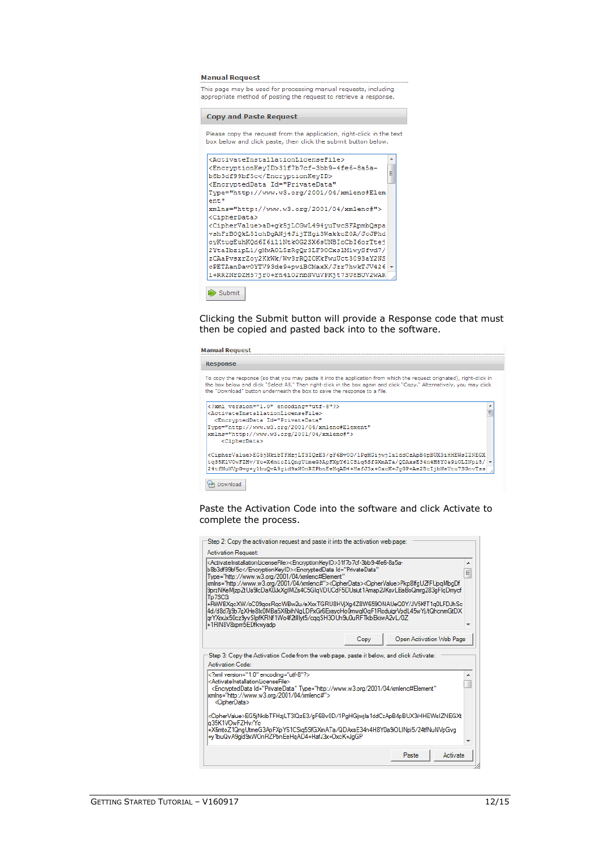#### **Manual Request**

This page may be used for processing manual requests, including appropriate method of posting the request to retrieve a response.

#### **Copy and Paste Request**

Please copy the request from the application, right-click in the text box below and click paste, then click the submit button below.

| <activateinstallationlicensefile></activateinstallationlicensefile>  |   |
|----------------------------------------------------------------------|---|
| <encrvptionkevid>31f7b7cf-3bb9-4fe6-8a5a-</encrvptionkevid>          |   |
| b8b3df99bf5c                                                         | Ξ |
| <encrypteddata <="" id="PrivateData" td=""><td></td></encrypteddata> |   |
| Type="http://www.w3.org/2001/04/xmlenc#Elem                          |   |
| ent"                                                                 |   |
| xmlns="http://www.w3.org/2001/04/xmlenc#">                           |   |
| <cipherdata></cipherdata>                                            |   |
| <ciphervalue>aD+qk5jLCGwL494vuTwcSFApmbQspa</ciphervalue>            |   |
| vshFrB0QkL51ohDqANj4JijTHqi3WakkcZ0A/JcJPhd                          |   |
| oyKtuqEuhKQd6I6i11NtkOG2SX6sUNBIoCbI6orTtej                          |   |
| 2YtaIbzipL1/qMwA0L5zRqQr3LF9OCxslM1wySfvd7/                          |   |
| zCAaPvsxrZov2KkWk/Wv3rROZOKkFwuUct3093aY2NS                          |   |
| cPETAanDavOYTV93de9+pwiBCMaxX/Jzr7hwkTJV426                          |   |
| i+RRZNrDZH57jr0+rn4iO2nbNVuVPKjt73U8BUV2wAR                          |   |

Clicking the Submit button will provide a Response code that must then be copied and pasted back into to the software.

#### **Manual Request**

 $\Rightarrow$  Submit



**Download** 

Paste the Activation Code into the software and click Activate to complete the process.

| Step 2: Copy the activation request and paste it into the activation web page:                                                                                                                                                                                                                                                                                                                                                                                                                                                                                                                                                                                                                                                                                   |  |                   |  |  |
|------------------------------------------------------------------------------------------------------------------------------------------------------------------------------------------------------------------------------------------------------------------------------------------------------------------------------------------------------------------------------------------------------------------------------------------------------------------------------------------------------------------------------------------------------------------------------------------------------------------------------------------------------------------------------------------------------------------------------------------------------------------|--|-------------------|--|--|
| <b>Activation Request:</b>                                                                                                                                                                                                                                                                                                                                                                                                                                                                                                                                                                                                                                                                                                                                       |  |                   |  |  |
| <activateinstallationlicensefile><encrvptionkevid>31f7b7cf-3bb9-4fe6-8a5a-<br/>▴<br/>b8b3df99bf5c<encrypteddata <br="" id="PrivateData">Ξ<br/>Type="http://www.w3.org/2001/04/xmlenc#Element"<br/>xmlns="http://www.w3.org/2001/04/xmlenc#"&gt;<cipherdata><ciphervalue>Pkp8lfgUZfFUpqMbgDf<br/>9przNKeMjzpZtUa9lcDaK0JxXgIMZs4C5GlqVDUCdF5DUsiut1Amap2JKsvLBaBoQmrg283gFlqDmycf<br/>Tp7SCG<br/>+RiiWBXacXW/oC09aosRacWBw2u/eXxxTGRU8HViXa4Z8W659ONAUeQ0Y/JV5KfT1a0LFDJhSc<br/>4d/d8d7jj9b7qXHe8bx0MBa5X6bihNqLDPxGr6ExsyoHo0mwqlOqF1RoduigrVpdL45wYj/tQhcnmGtDX<br/>arYXxxJx50cz9vvSlofKRNf1Wo4f2tlllyt5/cqqSH3OUh9u0uRFTkbEkiwA2vL/0Z<br/>+1RIN8V8xpm5EDfkwvadp</ciphervalue></cipherdata></encrypteddata></encrvptionkevid></activateinstallationlicensefile> |  |                   |  |  |
| Open Activation Web Page<br>Copy                                                                                                                                                                                                                                                                                                                                                                                                                                                                                                                                                                                                                                                                                                                                 |  |                   |  |  |
| Step 3: Copy the Activation Code from the web page, paste it below, and click Activate:<br>Activation Code:                                                                                                                                                                                                                                                                                                                                                                                                                                                                                                                                                                                                                                                      |  |                   |  |  |
| xml version="1.0" encoding="utf-8"?<br><activateinstallationlicensefile><br/><encrypteddata <br="" id="PrivateData" type="http://www.w3.org/2001/04/xmlenc#Element">xmlns="http://www.w3.org/2001/04/xmlenc#"&gt;<br/><cipherdata></cipherdata></encrypteddata></activateinstallationlicensefile>                                                                                                                                                                                                                                                                                                                                                                                                                                                                |  | ▲                 |  |  |
| <ciphervalue>EG5iNkibTFHziLT3lQzE3/qF6Bv0D/1PqHGiiwila1ddCzApB4pBUX3iHHEWsIZNEGXt<br/>a35K1VOwFZHv/Yo<br/>+X6mtoZ1QngUtmeG3ApFXpY61CSig5SfGXmATa/QDAxsE34n4H8Y0a9iOLINpi5/24tfNuNVpGvg<br/>+v1buQvA9aid9xWOnRZPbnEeHaAD4+HafJ3x+OxcK+JaGP</ciphervalue>                                                                                                                                                                                                                                                                                                                                                                                                                                                                                                          |  |                   |  |  |
|                                                                                                                                                                                                                                                                                                                                                                                                                                                                                                                                                                                                                                                                                                                                                                  |  | Paste<br>Activate |  |  |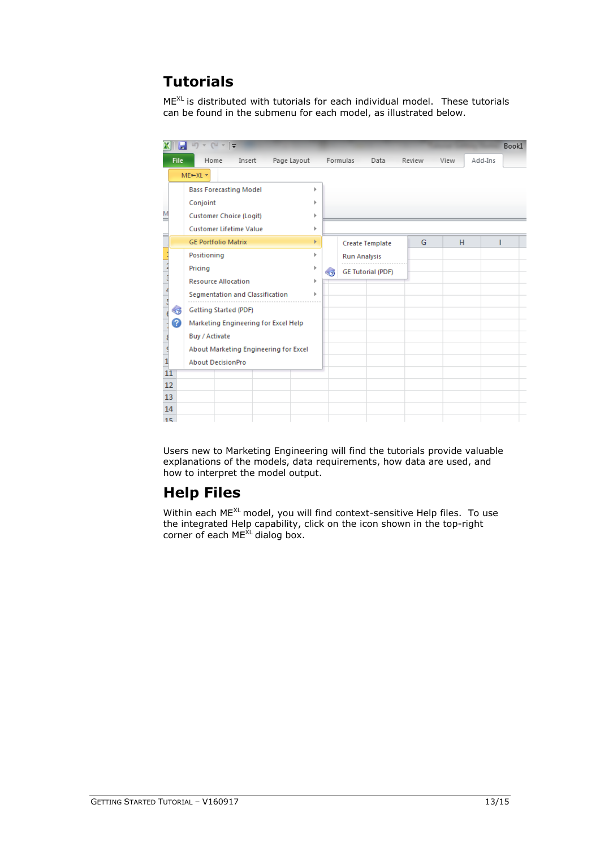# **Tutorials**

 $ME^{XL}$  is distributed with tutorials for each individual model. These tutorials can be found in the submenu for each model, as illustrated below.

|     |                          | $\boxed{24 - 1}$<br>町ャ                |    |                          |        |      | Book1   |
|-----|--------------------------|---------------------------------------|----|--------------------------|--------|------|---------|
|     | <b>File</b>              | Home<br>Page Layout<br>Insert         |    | Formulas<br>Data         | Review | View | Add-Ins |
|     |                          | $ME + XL$ *                           |    |                          |        |      |         |
|     |                          | <b>Bass Forecasting Model</b><br>ь    |    |                          |        |      |         |
|     |                          | Conjoint                              | ь  |                          |        |      |         |
| Μ   |                          | Customer Choice (Logit)<br>Þ          |    |                          |        |      |         |
|     |                          | <b>Customer Lifetime Value</b><br>ь   |    |                          |        |      |         |
|     |                          | <b>GE Portfolio Matrix</b>            | r  | <b>Create Template</b>   | G      | H    |         |
|     |                          | Positioning<br>ь                      |    | <b>Run Analysis</b>      |        |      |         |
|     |                          | Pricing                               | ≤ອ | <b>GE Tutorial (PDF)</b> |        |      |         |
|     |                          | <b>Resource Allocation</b><br>r       |    |                          |        |      |         |
|     |                          | Segmentation and Classification       | ь  |                          |        |      |         |
|     | $\zeta_{\bm{\vartheta}}$ | Getting Started (PDF)                 |    |                          |        |      |         |
|     | ?                        | Marketing Engineering for Excel Help  |    |                          |        |      |         |
|     |                          | Buy / Activate                        |    |                          |        |      |         |
|     |                          | About Marketing Engineering for Excel |    |                          |        |      |         |
| 11  |                          | <b>About DecisionPro</b>              |    |                          |        |      |         |
| 12  |                          |                                       |    |                          |        |      |         |
| 13  |                          |                                       |    |                          |        |      |         |
| 14  |                          |                                       |    |                          |        |      |         |
| 15. |                          |                                       |    |                          |        |      |         |

Users new to Marketing Engineering will find the tutorials provide valuable explanations of the models, data requirements, how data are used, and how to interpret the model output.

# **Help Files**

Within each ME<sup>XL</sup> model, you will find context-sensitive Help files. To use the integrated Help capability, click on the icon shown in the top-right corner of each ME<sup>XL</sup> dialog box.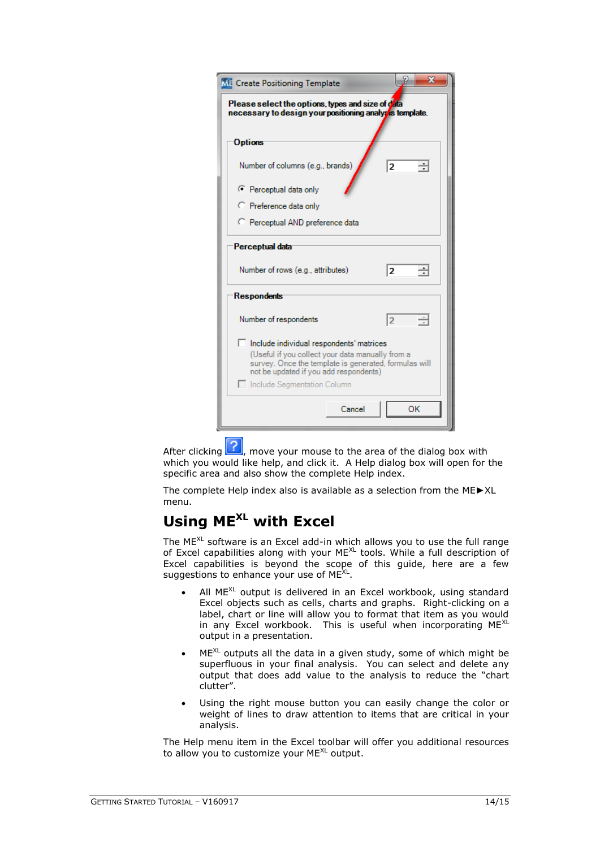| <b>ME</b> Create Positioning Template                                                                                                                                                                                            | X  |  |  |  |  |
|----------------------------------------------------------------------------------------------------------------------------------------------------------------------------------------------------------------------------------|----|--|--|--|--|
| Please select the options, types and size of data<br>necessary to design your positioning analysis template.                                                                                                                     |    |  |  |  |  |
| <b>Options</b>                                                                                                                                                                                                                   |    |  |  |  |  |
| Number of columns (e.g., brands)                                                                                                                                                                                                 | 2  |  |  |  |  |
| C Perceptual data only                                                                                                                                                                                                           |    |  |  |  |  |
| C Preference data only                                                                                                                                                                                                           |    |  |  |  |  |
| C Perceptual AND preference data                                                                                                                                                                                                 |    |  |  |  |  |
| Perceptual data                                                                                                                                                                                                                  |    |  |  |  |  |
| Number of rows (e.g., attributes)                                                                                                                                                                                                | 2  |  |  |  |  |
| <b>Respondents</b>                                                                                                                                                                                                               |    |  |  |  |  |
| Number of respondents                                                                                                                                                                                                            | 12 |  |  |  |  |
| Include individual respondents' matrices<br>(Useful if you collect your data manually from a<br>survey. Once the template is generated, formulas will<br>not be updated if you add respondents)<br>□ Include Segmentation Column |    |  |  |  |  |
| Cancel                                                                                                                                                                                                                           | OK |  |  |  |  |

After clicking  $\boxed{?}$ , move your mouse to the area of the dialog box with which you would like help, and click it. A Help dialog box will open for the specific area and also show the complete Help index.

The complete Help index also is available as a selection from the ME►XL menu.

### **Using MEXL with Excel**

The ME<sup>XL</sup> software is an Excel add-in which allows you to use the full range of Excel capabilities along with your ME<sup>XL</sup> tools. While a full description of Excel capabilities is beyond the scope of this guide, here are a few suggestions to enhance your use of  $ME^{XL}$ .

- All  $ME^{XL}$  output is delivered in an Excel workbook, using standard Excel objects such as cells, charts and graphs. Right-clicking on a label, chart or line will allow you to format that item as you would in any Excel workbook. This is useful when incorporating  $ME^{XL}$ output in a presentation.
- $ME^{XL}$  outputs all the data in a given study, some of which might be superfluous in your final analysis. You can select and delete any output that does add value to the analysis to reduce the "chart clutter".
- Using the right mouse button you can easily change the color or weight of lines to draw attention to items that are critical in your analysis.

The Help menu item in the Excel toolbar will offer you additional resources to allow you to customize your ME<sup>XL</sup> output.